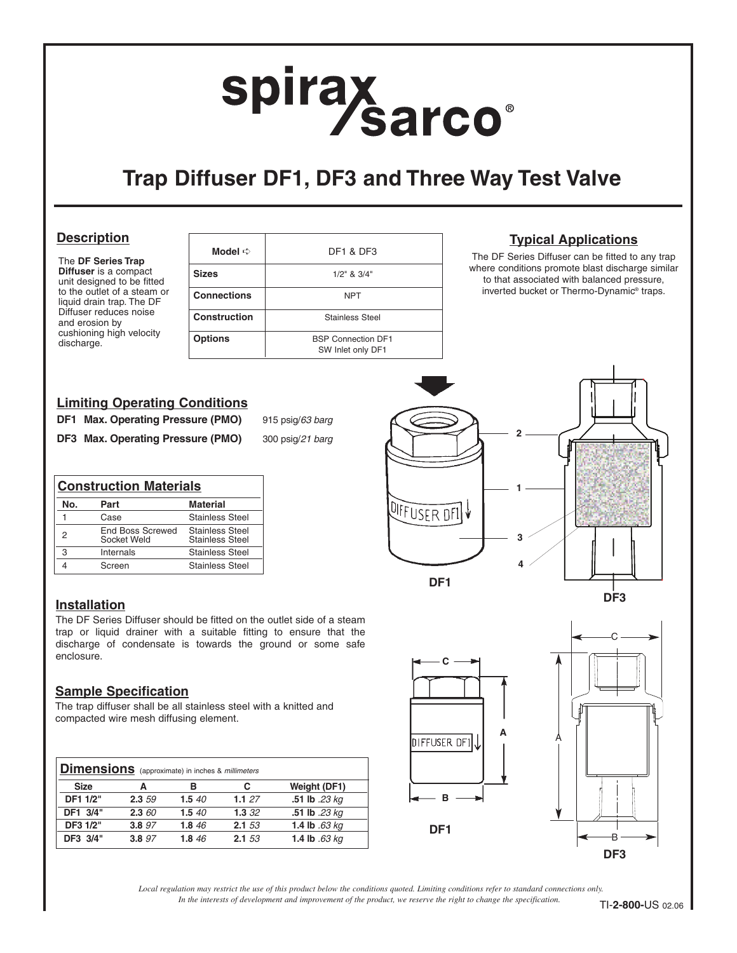# spirax<br>Sarco

## **Trap Diffuser DF1, DF3 and Three Way Test Valve**

#### **Description**

The **DF Series Trap Diffuser** is a compact unit designed to be fitted to the outlet of a steam or liquid drain trap. The DF Diffuser reduces noise and erosion by cushioning high velocity discharge.

|                     | <b>DF1 &amp; DF3</b>                           |
|---------------------|------------------------------------------------|
| <b>Sizes</b>        | $1/2$ " & $3/4$ "                              |
| <b>Connections</b>  | <b>NPT</b>                                     |
| <b>Construction</b> | Stainless Steel                                |
| <b>Options</b>      | <b>BSP Connection DF1</b><br>SW Inlet only DF1 |

### **Typical Applications**

The DF Series Diffuser can be fitted to any trap where conditions promote blast discharge similar to that associated with balanced pressure, inverted bucket or Thermo-Dynamic® traps.

#### **Limiting Operating Conditions**

**DF1 Max. Operating Pressure (PMO)** 915 psig/63 barg

**DF3 Max. Operating Pressure (PMO)** 300 psig/21 barg

|  | 915 psig/ <i>65 bar</i> |  |  |
|--|-------------------------|--|--|
|  |                         |  |  |

| <b>Construction Materials</b> |                                        |                                                  |
|-------------------------------|----------------------------------------|--------------------------------------------------|
| Nο.                           | Part                                   | <b>Material</b>                                  |
|                               | Case                                   | <b>Stainless Steel</b>                           |
| 2                             | <b>End Boss Screwed</b><br>Socket Weld | <b>Stainless Steel</b><br><b>Stainless Steel</b> |
| 3                             | Internals                              | <b>Stainless Steel</b>                           |
|                               | Screen                                 | <b>Stainless Steel</b>                           |

#### **Installation**

The DF Series Diffuser should be fitted on the outlet side of a steam trap or liquid drainer with a suitable fitting to ensure that the discharge of condensate is towards the ground or some safe enclosure.

#### **Sample Specification**

The trap diffuser shall be all stainless steel with a knitted and compacted wire mesh diffusing element.

| <b>Dimensions</b> (approximate) in inches & millimeters |           |       |       |                 |
|---------------------------------------------------------|-----------|-------|-------|-----------------|
| <b>Size</b>                                             | А         | в     | C     | Weight (DF1)    |
| DF1 1/2"                                                | 2.3 59    | 1.540 | 1.127 | .51 lb .23 kg   |
| DF1 3/4"                                                | $2.3\,60$ | 1.540 | 1.332 | .51 lb .23 kg   |
| DF3 1/2"                                                | 3.8 97    | 1.846 | 2.153 | 1.4 lb $.63$ kg |
| DF3 3/4"                                                | 3.8 97    | 1.846 | 2.153 | 1.4 lb .63 kg   |





*In the interests of development and improvement of the product, we reserve the right to change the specification. Local regulation may restrict the use of this product below the conditions quoted. Limiting conditions refer to standard connections only.*